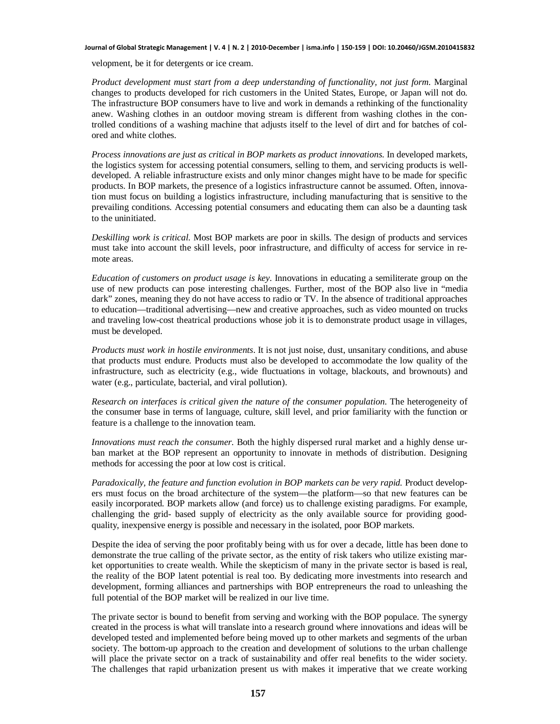## **Journal of Global Strategic Management | V. 4 | N. 2 | 2010-December | isma.info | 150-159 | DOI: 10.20460/JGSM.2010415832**

velopment, be it for detergents or ice cream.

*Product development must start from a deep understanding of functionality, not just form*. Marginal changes to products developed for rich customers in the United States, Europe, or Japan will not do. The infrastructure BOP consumers have to live and work in demands a rethinking of the functionality anew. Washing clothes in an outdoor moving stream is different from washing clothes in the controlled conditions of a washing machine that adjusts itself to the level of dirt and for batches of colored and white clothes.

*Process innovations are just as critical in BOP markets as product innovations*. In developed markets, the logistics system for accessing potential consumers, selling to them, and servicing products is welldeveloped. A reliable infrastructure exists and only minor changes might have to be made for specific products. In BOP markets, the presence of a logistics infrastructure cannot be assumed. Often, innovation must focus on building a logistics infrastructure, including manufacturing that is sensitive to the prevailing conditions. Accessing potential consumers and educating them can also be a daunting task to the uninitiated.

*Deskilling work is critical*. Most BOP markets are poor in skills. The design of products and services must take into account the skill levels, poor infrastructure, and difficulty of access for service in remote areas.

*Education of customers on product usage is key*. Innovations in educating a semiliterate group on the use of new products can pose interesting challenges. Further, most of the BOP also live in "media dark" zones, meaning they do not have access to radio or TV. In the absence of traditional approaches to education—traditional advertising—new and creative approaches, such as video mounted on trucks and traveling low-cost theatrical productions whose job it is to demonstrate product usage in villages, must be developed.

*Products must work in hostile environments*. It is not just noise, dust, unsanitary conditions, and abuse that products must endure. Products must also be developed to accommodate the low quality of the infrastructure, such as electricity (e.g., wide fluctuations in voltage, blackouts, and brownouts) and water (e.g., particulate, bacterial, and viral pollution).

*Research on interfaces is critical given the nature of the consumer population*. The heterogeneity of the consumer base in terms of language, culture, skill level, and prior familiarity with the function or feature is a challenge to the innovation team.

*Innovations must reach the consumer*. Both the highly dispersed rural market and a highly dense urban market at the BOP represent an opportunity to innovate in methods of distribution. Designing methods for accessing the poor at low cost is critical.

*Paradoxically, the feature and function evolution in BOP markets can be very rapid.* Product developers must focus on the broad architecture of the system—the platform—so that new features can be easily incorporated. BOP markets allow (and force) us to challenge existing paradigms. For example, challenging the grid- based supply of electricity as the only available source for providing goodquality, inexpensive energy is possible and necessary in the isolated, poor BOP markets.

Despite the idea of serving the poor profitably being with us for over a decade, little has been done to demonstrate the true calling of the private sector, as the entity of risk takers who utilize existing market opportunities to create wealth. While the skepticism of many in the private sector is based is real, the reality of the BOP latent potential is real too. By dedicating more investments into research and development, forming alliances and partnerships with BOP entrepreneurs the road to unleashing the full potential of the BOP market will be realized in our live time.

The private sector is bound to benefit from serving and working with the BOP populace. The synergy created in the process is what will translate into a research ground where innovations and ideas will be developed tested and implemented before being moved up to other markets and segments of the urban society. The bottom-up approach to the creation and development of solutions to the urban challenge will place the private sector on a track of sustainability and offer real benefits to the wider society. The challenges that rapid urbanization present us with makes it imperative that we create working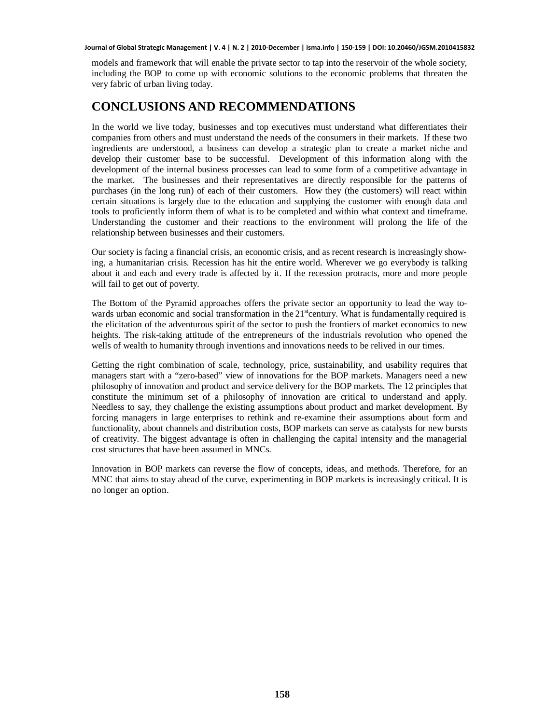## **Journal of Global Strategic Management | V. 4 | N. 2 | 2010-December | isma.info | 150-159 | DOI: 10.20460/JGSM.2010415832**

models and framework that will enable the private sector to tap into the reservoir of the whole society, including the BOP to come up with economic solutions to the economic problems that threaten the very fabric of urban living today.

## **CONCLUSIONS AND RECOMMENDATIONS**

In the world we live today, businesses and top executives must understand what differentiates their companies from others and must understand the needs of the consumers in their markets. If these two ingredients are understood, a business can develop a strategic plan to create a market niche and develop their customer base to be successful. Development of this information along with the development of the internal business processes can lead to some form of a competitive advantage in the market. The businesses and their representatives are directly responsible for the patterns of purchases (in the long run) of each of their customers. How they (the customers) will react within certain situations is largely due to the education and supplying the customer with enough data and tools to proficiently inform them of what is to be completed and within what context and timeframe. Understanding the customer and their reactions to the environment will prolong the life of the relationship between businesses and their customers.

Our society is facing a financial crisis, an economic crisis, and as recent research is increasingly showing, a humanitarian crisis. Recession has hit the entire world. Wherever we go everybody is talking about it and each and every trade is affected by it. If the recession protracts, more and more people will fail to get out of poverty.

The Bottom of the Pyramid approaches offers the private sector an opportunity to lead the way towards urban economic and social transformation in the 21<sup>st</sup>century. What is fundamentally required is the elicitation of the adventurous spirit of the sector to push the frontiers of market economics to new heights. The risk-taking attitude of the entrepreneurs of the industrials revolution who opened the wells of wealth to humanity through inventions and innovations needs to be relived in our times.

Getting the right combination of scale, technology, price, sustainability, and usability requires that managers start with a "zero-based" view of innovations for the BOP markets. Managers need a new philosophy of innovation and product and service delivery for the BOP markets. The 12 principles that constitute the minimum set of a philosophy of innovation are critical to understand and apply. Needless to say, they challenge the existing assumptions about product and market development. By forcing managers in large enterprises to rethink and re-examine their assumptions about form and functionality, about channels and distribution costs, BOP markets can serve as catalysts for new bursts of creativity. The biggest advantage is often in challenging the capital intensity and the managerial cost structures that have been assumed in MNCs.

Innovation in BOP markets can reverse the flow of concepts, ideas, and methods. Therefore, for an MNC that aims to stay ahead of the curve, experimenting in BOP markets is increasingly critical. It is no longer an option.